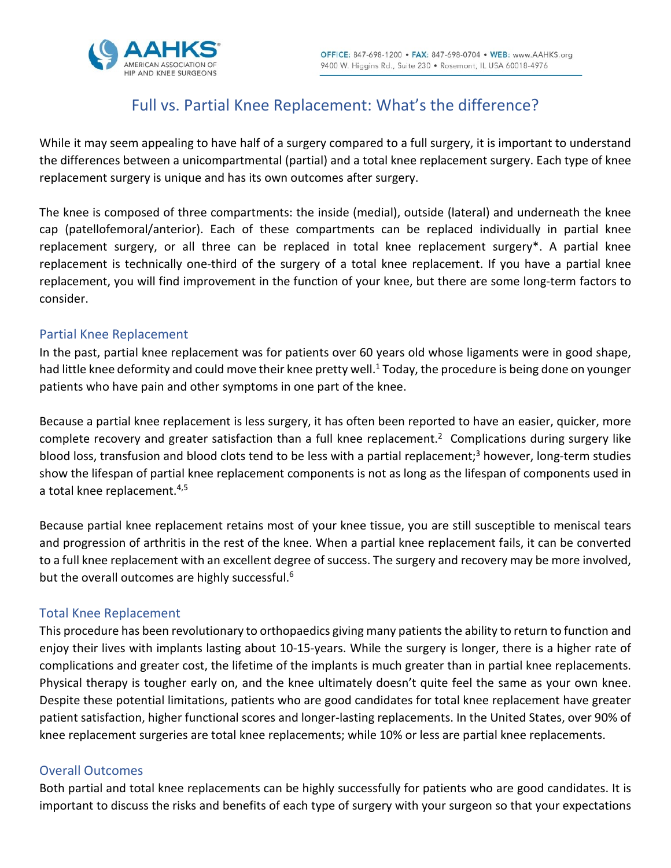

# Full vs. Partial Knee Replacement: What's the difference?

While it may seem appealing to have half of a surgery compared to a full surgery, it is important to understand the differences between a unicompartmental (partial) and a total knee replacement surgery. Each type of knee replacement surgery is unique and has its own outcomes after surgery.

The knee is composed of three compartments: the inside (medial), outside (lateral) and underneath the knee cap (patellofemoral/anterior). Each of these compartments can be replaced individually in partial knee replacement surgery, or all three can be replaced in total knee replacement surgery\*. A partial knee replacement is technically one-third of the surgery of a total knee replacement. If you have a partial knee replacement, you will find improvement in the function of your knee, but there are some long-term factors to consider.

### Partial Knee Replacement

In the past, partial knee replacement was for patients over 60 years old whose ligaments were in good shape, had little knee deformity and could move their knee pretty well.<sup>1</sup> Today, the procedure is being done on younger patients who have pain and other symptoms in one part of the knee.

Because a partial knee replacement is less surgery, it has often been reported to have an easier, quicker, more complete recovery and greater satisfaction than a full knee replacement.<sup>2</sup> Complications during surgery like blood loss, transfusion and blood clots tend to be less with a partial replacement;<sup>3</sup> however, long-term studies show the lifespan of partial knee replacement components is not as long as the lifespan of components used in a total knee replacement.<sup>4,5</sup>

Because partial knee replacement retains most of your knee tissue, you are still susceptible to meniscal tears and progression of arthritis in the rest of the knee. When a partial knee replacement fails, it can be converted to a full knee replacement with an excellent degree of success. The surgery and recovery may be more involved, but the overall outcomes are highly successful.<sup>6</sup>

### Total Knee Replacement

This procedure has been revolutionary to orthopaedics giving many patients the ability to return to function and enjoy their lives with implants lasting about 10-15-years. While the surgery is longer, there is a higher rate of complications and greater cost, the lifetime of the implants is much greater than in partial knee replacements. Physical therapy is tougher early on, and the knee ultimately doesn't quite feel the same as your own knee. Despite these potential limitations, patients who are good candidates for total knee replacement have greater patient satisfaction, higher functional scores and longer-lasting replacements. In the United States, over 90% of knee replacement surgeries are total knee replacements; while 10% or less are partial knee replacements.

### Overall Outcomes

Both partial and total knee replacements can be highly successfully for patients who are good candidates. It is important to discuss the risks and benefits of each type of surgery with your surgeon so that your expectations